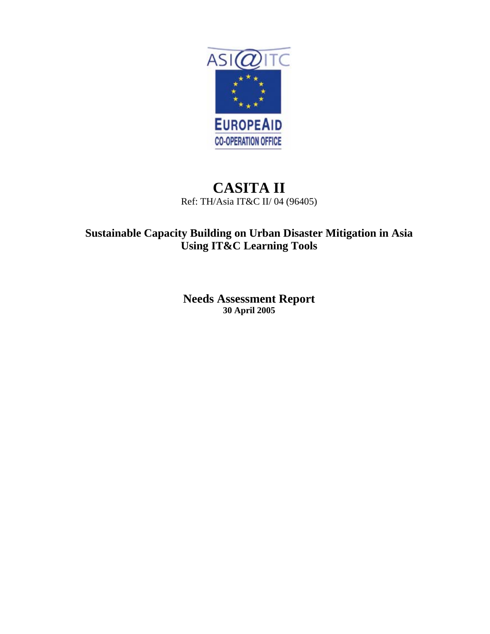

# **CASITA II** Ref: TH/Asia IT&C II/ 04 (96405)

# **Sustainable Capacity Building on Urban Disaster Mitigation in Asia Using IT&C Learning Tools**

**Needs Assessment Report 30 April 2005**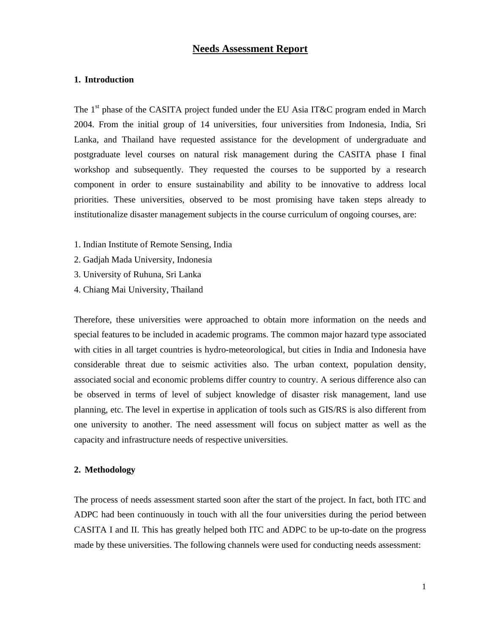## **Needs Assessment Report**

### **1. Introduction**

The  $1<sup>st</sup>$  phase of the CASITA project funded under the EU Asia IT&C program ended in March 2004. From the initial group of 14 universities, four universities from Indonesia, India, Sri Lanka, and Thailand have requested assistance for the development of undergraduate and postgraduate level courses on natural risk management during the CASITA phase I final workshop and subsequently. They requested the courses to be supported by a research component in order to ensure sustainability and ability to be innovative to address local priorities. These universities, observed to be most promising have taken steps already to institutionalize disaster management subjects in the course curriculum of ongoing courses, are:

- 1. Indian Institute of Remote Sensing, India
- 2. Gadjah Mada University, Indonesia
- 3. University of Ruhuna, Sri Lanka
- 4. Chiang Mai University, Thailand

Therefore, these universities were approached to obtain more information on the needs and special features to be included in academic programs. The common major hazard type associated with cities in all target countries is hydro-meteorological, but cities in India and Indonesia have considerable threat due to seismic activities also. The urban context, population density, associated social and economic problems differ country to country. A serious difference also can be observed in terms of level of subject knowledge of disaster risk management, land use planning, etc. The level in expertise in application of tools such as GIS/RS is also different from one university to another. The need assessment will focus on subject matter as well as the capacity and infrastructure needs of respective universities.

#### **2. Methodology**

The process of needs assessment started soon after the start of the project. In fact, both ITC and ADPC had been continuously in touch with all the four universities during the period between CASITA I and II. This has greatly helped both ITC and ADPC to be up-to-date on the progress made by these universities. The following channels were used for conducting needs assessment: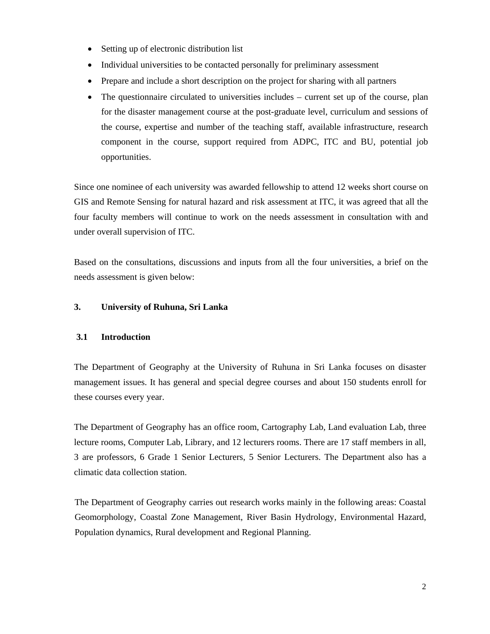- Setting up of electronic distribution list
- Individual universities to be contacted personally for preliminary assessment
- Prepare and include a short description on the project for sharing with all partners
- The questionnaire circulated to universities includes current set up of the course, plan for the disaster management course at the post-graduate level, curriculum and sessions of the course, expertise and number of the teaching staff, available infrastructure, research component in the course, support required from ADPC, ITC and BU, potential job opportunities.

Since one nominee of each university was awarded fellowship to attend 12 weeks short course on GIS and Remote Sensing for natural hazard and risk assessment at ITC, it was agreed that all the four faculty members will continue to work on the needs assessment in consultation with and under overall supervision of ITC.

Based on the consultations, discussions and inputs from all the four universities, a brief on the needs assessment is given below:

# **3. University of Ruhuna, Sri Lanka**

## **3.1 Introduction**

The Department of Geography at the University of Ruhuna in Sri Lanka focuses on disaster management issues. It has general and special degree courses and about 150 students enroll for these courses every year.

The Department of Geography has an office room, Cartography Lab, Land evaluation Lab, three lecture rooms, Computer Lab, Library, and 12 lecturers rooms. There are 17 staff members in all, 3 are professors, 6 Grade 1 Senior Lecturers, 5 Senior Lecturers. The Department also has a climatic data collection station.

The Department of Geography carries out research works mainly in the following areas: Coastal Geomorphology, Coastal Zone Management, River Basin Hydrology, Environmental Hazard, Population dynamics, Rural development and Regional Planning.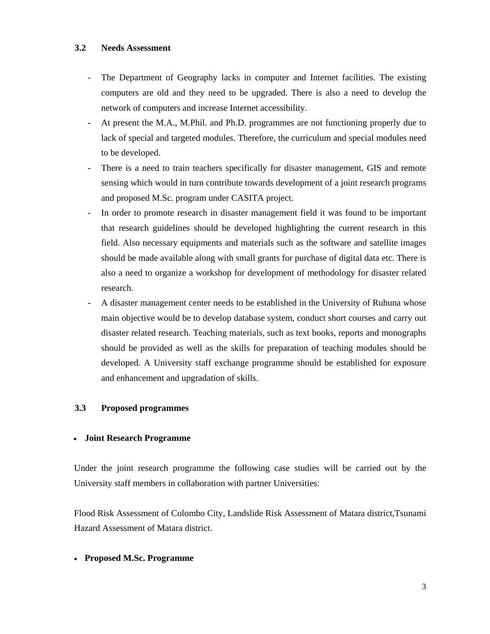#### **3.2 Needs Assessment**

- The Department of Geography lacks in computer and Internet facilities. The existing computers are old and they need to be upgraded. There is also a need to develop the network of computers and increase Internet accessibility.
- At present the M.A., M.Phil. and Ph.D. programmes are not functioning properly due to lack of special and targeted modules. Therefore, the curriculum and special modules need to be developed.
- There is a need to train teachers specifically for disaster management, GIS and remote sensing which would in turn contribute towards development of a joint research programs and proposed M.Sc. program under CASITA project.
- In order to promote research in disaster management field it was found to be important that research guidelines should be developed highlighting the current research in this field. Also necessary equipments and materials such as the software and satellite images should be made available along with small grants for purchase of digital data etc. There is also a need to organize a workshop for development of methodology for disaster related research.
- A disaster management center needs to be established in the University of Ruhuna whose main objective would be to develop database system, conduct short courses and carry out disaster related research. Teaching materials, such as text books, reports and monographs should be provided as well as the skills for preparation of teaching modules should be developed. A University staff exchange programme should be established for exposure and enhancement and upgradation of skills.

## **3.3 Proposed programmes**

## • **Joint Research Programme**

Under the joint research programme the following case studies will be carried out by the University staff members in collaboration with partner Universities:

Flood Risk Assessment of Colombo City, Landslide Risk Assessment of Matara district,Tsunami Hazard Assessment of Matara district.

## • **Proposed M.Sc. Programme**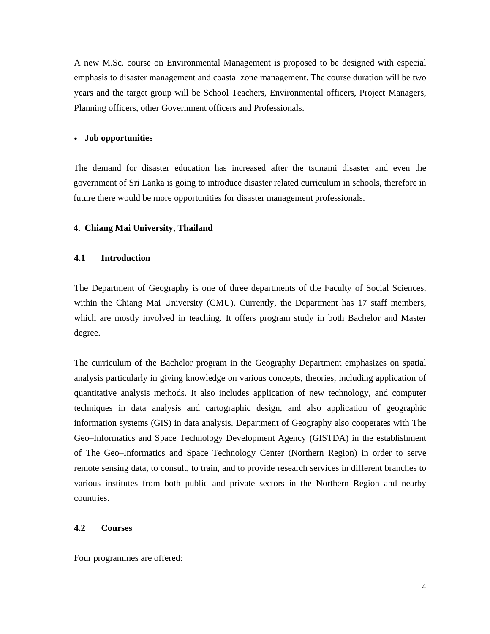A new M.Sc. course on Environmental Management is proposed to be designed with especial emphasis to disaster management and coastal zone management. The course duration will be two years and the target group will be School Teachers, Environmental officers, Project Managers, Planning officers, other Government officers and Professionals.

#### • **Job opportunities**

The demand for disaster education has increased after the tsunami disaster and even the government of Sri Lanka is going to introduce disaster related curriculum in schools, therefore in future there would be more opportunities for disaster management professionals.

#### **4. Chiang Mai University, Thailand**

#### **4.1 Introduction**

The Department of Geography is one of three departments of the Faculty of Social Sciences, within the Chiang Mai University (CMU). Currently, the Department has 17 staff members, which are mostly involved in teaching. It offers program study in both Bachelor and Master degree.

The curriculum of the Bachelor program in the Geography Department emphasizes on spatial analysis particularly in giving knowledge on various concepts, theories, including application of quantitative analysis methods. It also includes application of new technology, and computer techniques in data analysis and cartographic design, and also application of geographic information systems (GIS) in data analysis. Department of Geography also cooperates with The Geo–Informatics and Space Technology Development Agency (GISTDA) in the establishment of The Geo–Informatics and Space Technology Center (Northern Region) in order to serve remote sensing data, to consult, to train, and to provide research services in different branches to various institutes from both public and private sectors in the Northern Region and nearby countries.

# **4.2 Courses**

Four programmes are offered: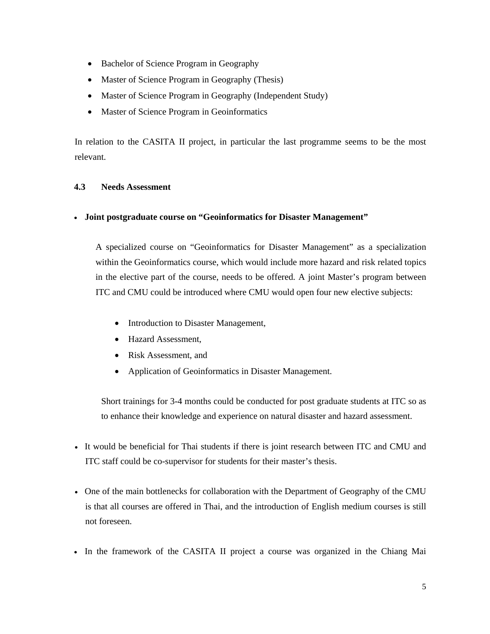- Bachelor of Science Program in Geography
- Master of Science Program in Geography (Thesis)
- Master of Science Program in Geography (Independent Study)
- Master of Science Program in Geoinformatics

In relation to the CASITA II project, in particular the last programme seems to be the most relevant.

# **4.3 Needs Assessment**

# • **Joint postgraduate course on "Geoinformatics for Disaster Management"**

A specialized course on "Geoinformatics for Disaster Management" as a specialization within the Geoinformatics course, which would include more hazard and risk related topics in the elective part of the course, needs to be offered. A joint Master's program between ITC and CMU could be introduced where CMU would open four new elective subjects:

- Introduction to Disaster Management,
- Hazard Assessment,
- Risk Assessment, and
- Application of Geoinformatics in Disaster Management.

Short trainings for 3-4 months could be conducted for post graduate students at ITC so as to enhance their knowledge and experience on natural disaster and hazard assessment.

- It would be beneficial for Thai students if there is joint research between ITC and CMU and ITC staff could be co-supervisor for students for their master's thesis.
- One of the main bottlenecks for collaboration with the Department of Geography of the CMU is that all courses are offered in Thai, and the introduction of English medium courses is still not foreseen.
- In the framework of the CASITA II project a course was organized in the Chiang Mai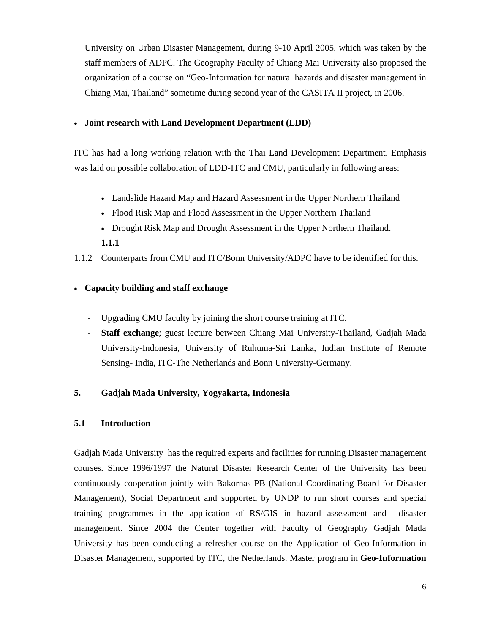University on Urban Disaster Management, during 9-10 April 2005, which was taken by the staff members of ADPC. The Geography Faculty of Chiang Mai University also proposed the organization of a course on "Geo-Information for natural hazards and disaster management in Chiang Mai, Thailand" sometime during second year of the CASITA II project, in 2006.

# • **Joint research with Land Development Department (LDD)**

ITC has had a long working relation with the Thai Land Development Department. Emphasis was laid on possible collaboration of LDD-ITC and CMU, particularly in following areas:

- Landslide Hazard Map and Hazard Assessment in the Upper Northern Thailand
- Flood Risk Map and Flood Assessment in the Upper Northern Thailand
- Drought Risk Map and Drought Assessment in the Upper Northern Thailand. **1.1.1**

1.1.2 Counterparts from CMU and ITC/Bonn University/ADPC have to be identified for this.

# • **Capacity building and staff exchange**

- Upgrading CMU faculty by joining the short course training at ITC.
- **Staff exchange**; guest lecture between Chiang Mai University-Thailand, Gadjah Mada University-Indonesia, University of Ruhuma-Sri Lanka, Indian Institute of Remote Sensing- India, ITC-The Netherlands and Bonn University-Germany.

# **5. Gadjah Mada University, Yogyakarta, Indonesia**

# **5.1 Introduction**

Gadjah Mada University has the required experts and facilities for running Disaster management courses. Since 1996/1997 the Natural Disaster Research Center of the University has been continuously cooperation jointly with Bakornas PB (National Coordinating Board for Disaster Management), Social Department and supported by UNDP to run short courses and special training programmes in the application of RS/GIS in hazard assessment and disaster management. Since 2004 the Center together with Faculty of Geography Gadjah Mada University has been conducting a refresher course on the Application of Geo-Information in Disaster Management, supported by ITC, the Netherlands. Master program in **Geo-Information**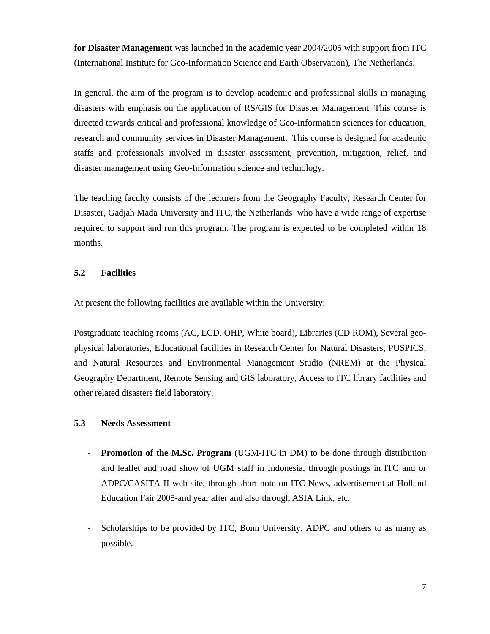**for Disaster Management** was launched in the academic year 2004/2005 with support from ITC (International Institute for Geo-Information Science and Earth Observation), The Netherlands.

In general, the aim of the program is to develop academic and professional skills in managing disasters with emphasis on the application of RS/GIS for Disaster Management. This course is directed towards critical and professional knowledge of Geo-Information sciences for education, research and community services in Disaster Management. This course is designed for academic staffs and professionals involved in disaster assessment, prevention, mitigation, relief, and disaster management using Geo-Information science and technology.

The teaching faculty consists of the lecturers from the Geography Faculty, Research Center for Disaster, Gadjah Mada University and ITC, the Netherlands who have a wide range of expertise required to support and run this program. The program is expected to be completed within 18 months.

# **5.2 Facilities**

At present the following facilities are available within the University:

Postgraduate teaching rooms (AC, LCD, OHP, White board), Libraries (CD ROM), Several geophysical laboratories, Educational facilities in Research Center for Natural Disasters, PUSPICS, and Natural Resources and Environmental Management Studio (NREM) at the Physical Geography Department, Remote Sensing and GIS laboratory, Access to ITC library facilities and other related disasters field laboratory.

## **5.3 Needs Assessment**

- **Promotion of the M.Sc. Program** (UGM-ITC in DM) to be done through distribution and leaflet and road show of UGM staff in Indonesia, through postings in ITC and or ADPC/CASITA II web site, through short note on ITC News, advertisement at Holland Education Fair 2005-and year after and also through ASIA Link, etc.
- Scholarships to be provided by ITC, Bonn University, ADPC and others to as many as possible.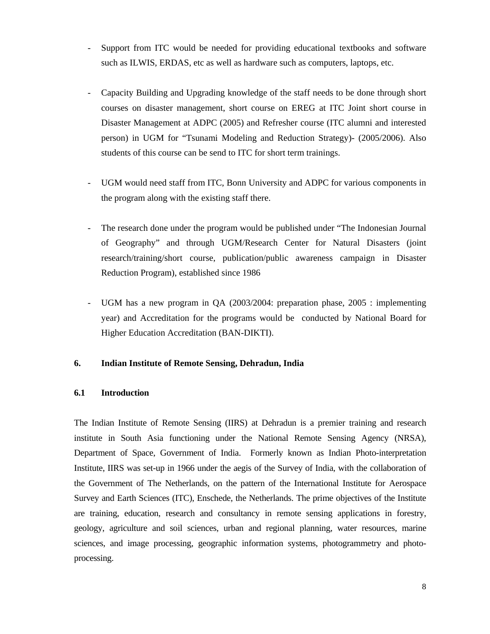- Support from ITC would be needed for providing educational textbooks and software such as ILWIS, ERDAS, etc as well as hardware such as computers, laptops, etc.
- Capacity Building and Upgrading knowledge of the staff needs to be done through short courses on disaster management, short course on EREG at ITC Joint short course in Disaster Management at ADPC (2005) and Refresher course (ITC alumni and interested person) in UGM for "Tsunami Modeling and Reduction Strategy)- (2005/2006). Also students of this course can be send to ITC for short term trainings.
- UGM would need staff from ITC, Bonn University and ADPC for various components in the program along with the existing staff there.
- The research done under the program would be published under "The Indonesian Journal of Geography" and through UGM/Research Center for Natural Disasters (joint research/training/short course, publication/public awareness campaign in Disaster Reduction Program), established since 1986
- UGM has a new program in QA (2003/2004: preparation phase, 2005 : implementing year) and Accreditation for the programs would be conducted by National Board for Higher Education Accreditation (BAN-DIKTI).

# **6. Indian Institute of Remote Sensing, Dehradun, India**

## **6.1 Introduction**

The Indian Institute of Remote Sensing (IIRS) at Dehradun is a premier training and research institute in South Asia functioning under the National Remote Sensing Agency (NRSA), Department of Space, Government of India. Formerly known as Indian Photo-interpretation Institute, IIRS was set-up in 1966 under the aegis of the Survey of India, with the collaboration of the Government of The Netherlands, on the pattern of the International Institute for Aerospace Survey and Earth Sciences (ITC), Enschede, the Netherlands. The prime objectives of the Institute are training, education, research and consultancy in remote sensing applications in forestry, geology, agriculture and soil sciences, urban and regional planning, water resources, marine sciences, and image processing, geographic information systems, photogrammetry and photoprocessing.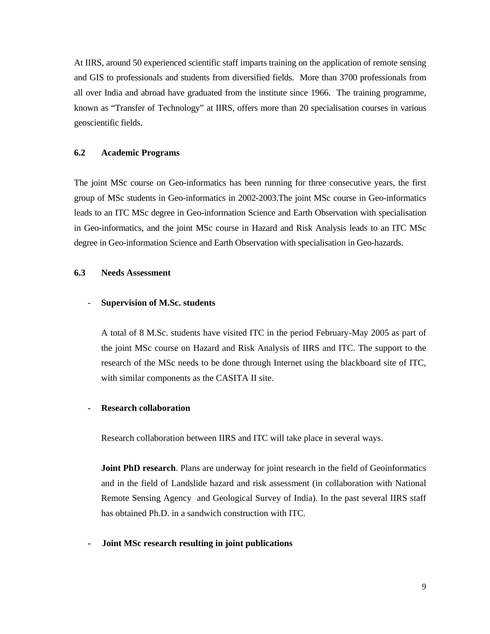At IIRS, around 50 experienced scientific staff imparts training on the application of remote sensing and GIS to professionals and students from diversified fields. More than 3700 professionals from all over India and abroad have graduated from the institute since 1966. The training programme, known as "Transfer of Technology" at IIRS, offers more than 20 specialisation courses in various geoscientific fields.

#### **6.2 Academic Programs**

The joint MSc course on Geo-informatics has been running for three consecutive years, the first group of MSc students in Geo-informatics in 2002-2003.The joint MSc course in Geo-informatics leads to an ITC MSc degree in Geo-information Science and Earth Observation with specialisation in Geo-informatics, and the joint MSc course in Hazard and Risk Analysis leads to an ITC MSc degree in Geo-information Science and Earth Observation with specialisation in Geo-hazards.

#### **6.3 Needs Assessment**

## - **Supervision of M.Sc. students**

A total of 8 M.Sc. students have visited ITC in the period February-May 2005 as part of the joint MSc course on Hazard and Risk Analysis of IIRS and ITC. The support to the research of the MSc needs to be done through Internet using the blackboard site of ITC, with similar components as the CASITA II site.

#### - **Research collaboration**

Research collaboration between IIRS and ITC will take place in several ways.

**Joint PhD research**. Plans are underway for joint research in the field of Geoinformatics and in the field of Landslide hazard and risk assessment (in collaboration with National Remote Sensing Agency and Geological Survey of India). In the past several IIRS staff has obtained Ph.D. in a sandwich construction with ITC.

#### **- Joint MSc research resulting in joint publications**